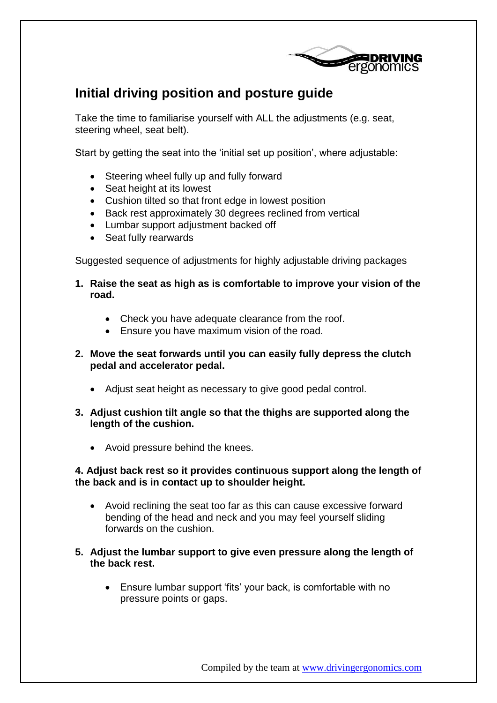

# **Initial driving position and posture guide**

Take the time to familiarise yourself with ALL the adjustments (e.g. seat, steering wheel, seat belt).

Start by getting the seat into the 'initial set up position', where adjustable:

- Steering wheel fully up and fully forward
- Seat height at its lowest
- Cushion tilted so that front edge in lowest position
- Back rest approximately 30 degrees reclined from vertical
- Lumbar support adjustment backed off
- Seat fully rearwards

Suggested sequence of adjustments for highly adjustable driving packages

- **1. Raise the seat as high as is comfortable to improve your vision of the road.**
	- Check you have adequate clearance from the roof.
	- Ensure you have maximum vision of the road.
- **2. Move the seat forwards until you can easily fully depress the clutch pedal and accelerator pedal.**
	- Adjust seat height as necessary to give good pedal control.
- **3. Adjust cushion tilt angle so that the thighs are supported along the length of the cushion.**
	- Avoid pressure behind the knees.

## **4. Adjust back rest so it provides continuous support along the length of the back and is in contact up to shoulder height.**

- Avoid reclining the seat too far as this can cause excessive forward bending of the head and neck and you may feel yourself sliding forwards on the cushion.
- **5. Adjust the lumbar support to give even pressure along the length of the back rest.**
	- Ensure lumbar support 'fits' your back, is comfortable with no pressure points or gaps.

Compiled by the team at www.drivingergonomics.com